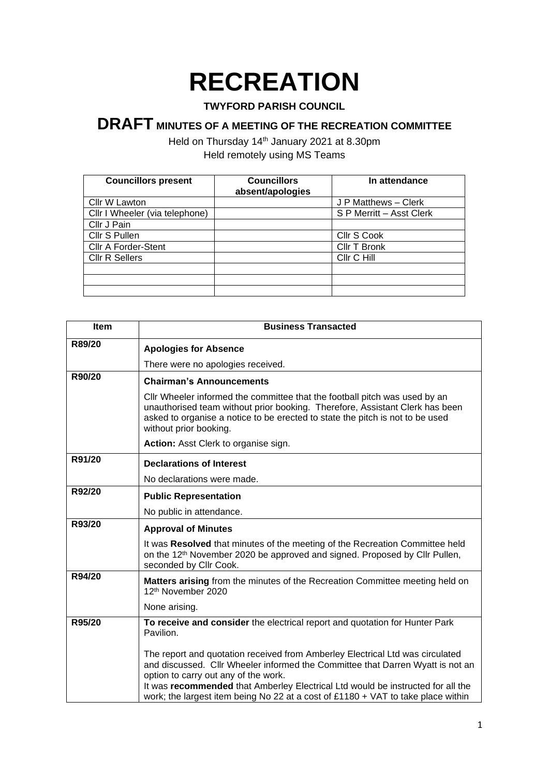## **RECREATION**

## **TWYFORD PARISH COUNCIL**

## **DRAFT MINUTES OF A MEETING OF THE RECREATION COMMITTEE**

Held on Thursday 14<sup>th</sup> January 2021 at 8.30pm Held remotely using MS Teams

| <b>Councillors present</b>     | <b>Councillors</b> | In attendance            |
|--------------------------------|--------------------|--------------------------|
|                                | absent/apologies   |                          |
| Cllr W Lawton                  |                    | J P Matthews - Clerk     |
| Cllr I Wheeler (via telephone) |                    | S P Merritt - Asst Clerk |
| Cllr J Pain                    |                    |                          |
| Cllr S Pullen                  |                    | Cllr S Cook              |
| <b>Cllr A Forder-Stent</b>     |                    | Cllr T Bronk             |
| <b>CIIr R Sellers</b>          |                    | Cllr C Hill              |
|                                |                    |                          |
|                                |                    |                          |
|                                |                    |                          |

| Item   | <b>Business Transacted</b>                                                                                                                                                                                                                                                                                                                                                     |  |
|--------|--------------------------------------------------------------------------------------------------------------------------------------------------------------------------------------------------------------------------------------------------------------------------------------------------------------------------------------------------------------------------------|--|
| R89/20 | <b>Apologies for Absence</b>                                                                                                                                                                                                                                                                                                                                                   |  |
|        | There were no apologies received.                                                                                                                                                                                                                                                                                                                                              |  |
| R90/20 | <b>Chairman's Announcements</b>                                                                                                                                                                                                                                                                                                                                                |  |
|        | Cllr Wheeler informed the committee that the football pitch was used by an<br>unauthorised team without prior booking. Therefore, Assistant Clerk has been<br>asked to organise a notice to be erected to state the pitch is not to be used<br>without prior booking.                                                                                                          |  |
|        | Action: Asst Clerk to organise sign.                                                                                                                                                                                                                                                                                                                                           |  |
| R91/20 | <b>Declarations of Interest</b>                                                                                                                                                                                                                                                                                                                                                |  |
|        | No declarations were made.                                                                                                                                                                                                                                                                                                                                                     |  |
| R92/20 | <b>Public Representation</b>                                                                                                                                                                                                                                                                                                                                                   |  |
|        | No public in attendance.                                                                                                                                                                                                                                                                                                                                                       |  |
| R93/20 | <b>Approval of Minutes</b>                                                                                                                                                                                                                                                                                                                                                     |  |
|        | It was Resolved that minutes of the meeting of the Recreation Committee held<br>on the 12 <sup>th</sup> November 2020 be approved and signed. Proposed by Cllr Pullen,<br>seconded by Cllr Cook.                                                                                                                                                                               |  |
| R94/20 | Matters arising from the minutes of the Recreation Committee meeting held on<br>12th November 2020                                                                                                                                                                                                                                                                             |  |
|        | None arising.                                                                                                                                                                                                                                                                                                                                                                  |  |
| R95/20 | To receive and consider the electrical report and quotation for Hunter Park<br>Pavilion.                                                                                                                                                                                                                                                                                       |  |
|        | The report and quotation received from Amberley Electrical Ltd was circulated<br>and discussed. Cllr Wheeler informed the Committee that Darren Wyatt is not an<br>option to carry out any of the work.<br>It was recommended that Amberley Electrical Ltd would be instructed for all the<br>work; the largest item being No 22 at a cost of £1180 + VAT to take place within |  |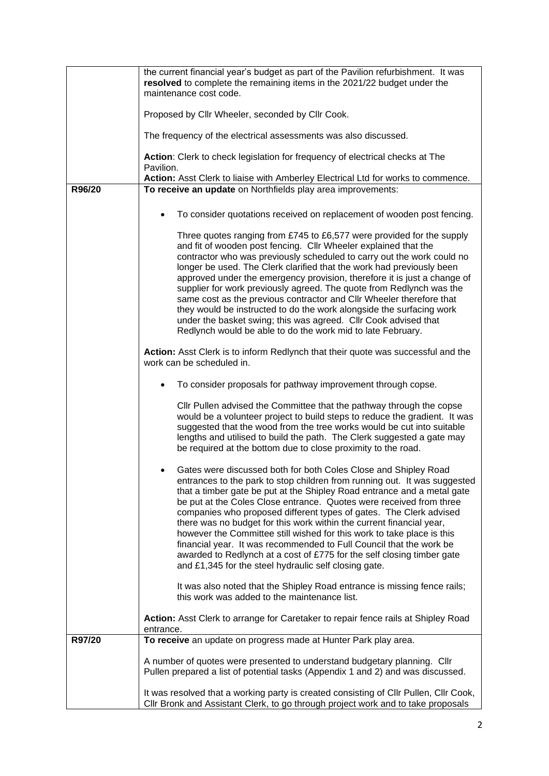|        | the current financial year's budget as part of the Pavilion refurbishment. It was                                                                                         |  |  |
|--------|---------------------------------------------------------------------------------------------------------------------------------------------------------------------------|--|--|
|        | resolved to complete the remaining items in the 2021/22 budget under the                                                                                                  |  |  |
|        | maintenance cost code.                                                                                                                                                    |  |  |
|        |                                                                                                                                                                           |  |  |
|        | Proposed by Cllr Wheeler, seconded by Cllr Cook.                                                                                                                          |  |  |
|        | The frequency of the electrical assessments was also discussed.                                                                                                           |  |  |
|        | Action: Clerk to check legislation for frequency of electrical checks at The<br>Pavilion.                                                                                 |  |  |
|        | Action: Asst Clerk to liaise with Amberley Electrical Ltd for works to commence.                                                                                          |  |  |
| R96/20 | To receive an update on Northfields play area improvements:                                                                                                               |  |  |
|        | To consider quotations received on replacement of wooden post fencing.                                                                                                    |  |  |
|        | Three quotes ranging from £745 to £6,577 were provided for the supply                                                                                                     |  |  |
|        | and fit of wooden post fencing. Cllr Wheeler explained that the                                                                                                           |  |  |
|        | contractor who was previously scheduled to carry out the work could no                                                                                                    |  |  |
|        | longer be used. The Clerk clarified that the work had previously been                                                                                                     |  |  |
|        | approved under the emergency provision, therefore it is just a change of                                                                                                  |  |  |
|        | supplier for work previously agreed. The quote from Redlynch was the<br>same cost as the previous contractor and CIIr Wheeler therefore that                              |  |  |
|        | they would be instructed to do the work alongside the surfacing work                                                                                                      |  |  |
|        | under the basket swing; this was agreed. Cllr Cook advised that                                                                                                           |  |  |
|        | Redlynch would be able to do the work mid to late February.                                                                                                               |  |  |
|        |                                                                                                                                                                           |  |  |
|        | Action: Asst Clerk is to inform Redlynch that their quote was successful and the                                                                                          |  |  |
|        | work can be scheduled in.                                                                                                                                                 |  |  |
|        | To consider proposals for pathway improvement through copse.                                                                                                              |  |  |
|        | Cllr Pullen advised the Committee that the pathway through the copse                                                                                                      |  |  |
|        | would be a volunteer project to build steps to reduce the gradient. It was                                                                                                |  |  |
|        | suggested that the wood from the tree works would be cut into suitable                                                                                                    |  |  |
|        | lengths and utilised to build the path. The Clerk suggested a gate may                                                                                                    |  |  |
|        | be required at the bottom due to close proximity to the road.                                                                                                             |  |  |
|        | Gates were discussed both for both Coles Close and Shipley Road                                                                                                           |  |  |
|        | entrances to the park to stop children from running out. It was suggested                                                                                                 |  |  |
|        | that a timber gate be put at the Shipley Road entrance and a metal gate                                                                                                   |  |  |
|        | be put at the Coles Close entrance. Quotes were received from three                                                                                                       |  |  |
|        | companies who proposed different types of gates. The Clerk advised                                                                                                        |  |  |
|        | there was no budget for this work within the current financial year,<br>however the Committee still wished for this work to take place is this                            |  |  |
|        | financial year. It was recommended to Full Council that the work be                                                                                                       |  |  |
|        | awarded to Redlynch at a cost of £775 for the self closing timber gate                                                                                                    |  |  |
|        | and £1,345 for the steel hydraulic self closing gate.                                                                                                                     |  |  |
|        | It was also noted that the Shipley Road entrance is missing fence rails;                                                                                                  |  |  |
|        | this work was added to the maintenance list.                                                                                                                              |  |  |
|        |                                                                                                                                                                           |  |  |
|        | Action: Asst Clerk to arrange for Caretaker to repair fence rails at Shipley Road                                                                                         |  |  |
| R97/20 | entrance.<br>To receive an update on progress made at Hunter Park play area.                                                                                              |  |  |
|        |                                                                                                                                                                           |  |  |
|        | A number of quotes were presented to understand budgetary planning. Cllr                                                                                                  |  |  |
|        | Pullen prepared a list of potential tasks (Appendix 1 and 2) and was discussed.                                                                                           |  |  |
|        |                                                                                                                                                                           |  |  |
|        | It was resolved that a working party is created consisting of CIIr Pullen, CIIr Cook,<br>Cllr Bronk and Assistant Clerk, to go through project work and to take proposals |  |  |